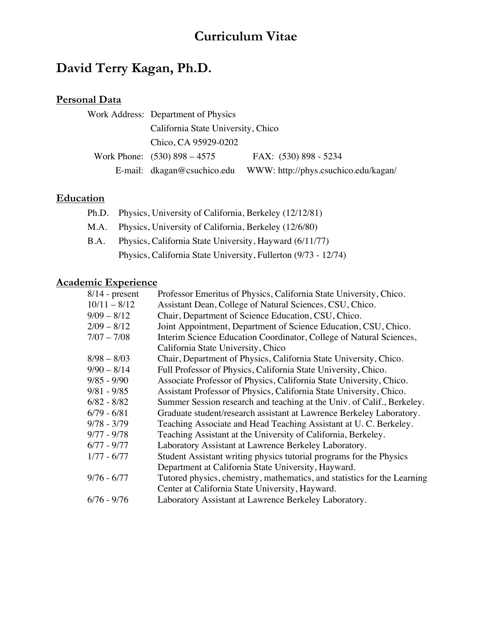# **Curriculum Vitae**

# **David Terry Kagan, Ph.D.**

# **Personal Data**

| Work Address: Department of Physics |                                      |
|-------------------------------------|--------------------------------------|
| California State University, Chico  |                                      |
| Chico, CA 95929-0202                |                                      |
| Work Phone: $(530) 898 - 4575$      | FAX: (530) 898 - 5234                |
| E-mail: $dkagan@csuchico.edu$       | WWW: http://phys.csuchico.edu/kagan/ |

# **Education**

- Ph.D. Physics, University of California, Berkeley (12/12/81) M.A. Physics, University of California, Berkeley (12/6/80)
- B.A. Physics, California State University, Hayward (6/11/77) Physics, California State University, Fullerton (9/73 - 12/74)

# **Academic Experience**

| $8/14$ - present | Professor Emeritus of Physics, California State University, Chico.       |
|------------------|--------------------------------------------------------------------------|
| $10/11 - 8/12$   | Assistant Dean, College of Natural Sciences, CSU, Chico.                 |
| $9/09 - 8/12$    | Chair, Department of Science Education, CSU, Chico.                      |
| $2/09 - 8/12$    | Joint Appointment, Department of Science Education, CSU, Chico.          |
| $7/07 - 7/08$    | Interim Science Education Coordinator, College of Natural Sciences,      |
|                  | California State University, Chico                                       |
| $8/98 - 8/03$    | Chair, Department of Physics, California State University, Chico.        |
| $9/90 - 8/14$    | Full Professor of Physics, California State University, Chico.           |
| $9/85 - 9/90$    | Associate Professor of Physics, California State University, Chico.      |
| $9/81 - 9/85$    | Assistant Professor of Physics, California State University, Chico.      |
| $6/82 - 8/82$    | Summer Session research and teaching at the Univ. of Calif., Berkeley.   |
| $6/79 - 6/81$    | Graduate student/research assistant at Lawrence Berkeley Laboratory.     |
| $9/78 - 3/79$    | Teaching Associate and Head Teaching Assistant at U.C. Berkeley.         |
| $9/77 - 9/78$    | Teaching Assistant at the University of California, Berkeley.            |
| $6/77 - 9/77$    | Laboratory Assistant at Lawrence Berkeley Laboratory.                    |
| $1/77 - 6/77$    | Student Assistant writing physics tutorial programs for the Physics      |
|                  | Department at California State University, Hayward.                      |
| $9/76 - 6/77$    | Tutored physics, chemistry, mathematics, and statistics for the Learning |
|                  | Center at California State University, Hayward.                          |
| $6/76 - 9/76$    | Laboratory Assistant at Lawrence Berkeley Laboratory.                    |
|                  |                                                                          |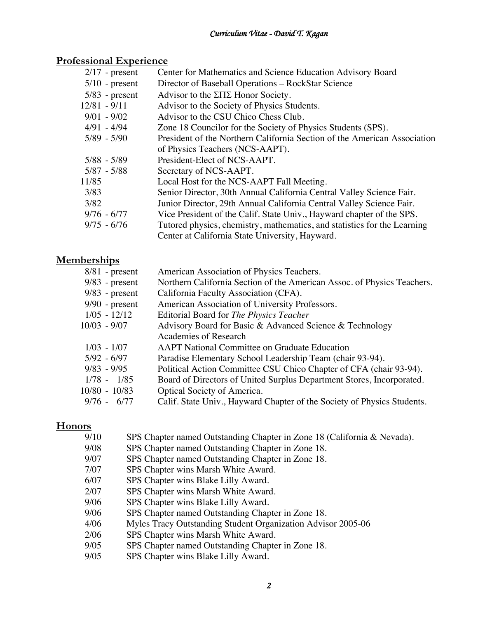# **Professional Experience**

| $2/17$ - present | Center for Mathematics and Science Education Advisory Board              |
|------------------|--------------------------------------------------------------------------|
| $5/10$ - present | Director of Baseball Operations – RockStar Science                       |
| $5/83$ - present | Advisor to the $\Sigma\Pi\Sigma$ Honor Society.                          |
| $12/81 - 9/11$   | Advisor to the Society of Physics Students.                              |
| $9/01 - 9/02$    | Advisor to the CSU Chico Chess Club.                                     |
| $4/91 - 4/94$    | Zone 18 Councilor for the Society of Physics Students (SPS).             |
| $5/89 - 5/90$    | President of the Northern California Section of the American Association |
|                  | of Physics Teachers (NCS-AAPT).                                          |
| $5/88 - 5/89$    | President-Elect of NCS-AAPT.                                             |
| $5/87 - 5/88$    | Secretary of NCS-AAPT.                                                   |
| 11/85            | Local Host for the NCS-AAPT Fall Meeting.                                |
| 3/83             | Senior Director, 30th Annual California Central Valley Science Fair.     |
| 3/82             | Junior Director, 29th Annual California Central Valley Science Fair.     |
| $9/76 - 6/77$    | Vice President of the Calif. State Univ., Hayward chapter of the SPS.    |
| $9/75 - 6/76$    | Tutored physics, chemistry, mathematics, and statistics for the Learning |
|                  | Center at California State University, Hayward.                          |
|                  |                                                                          |

# **Memberships**

| $8/81$ - present | American Association of Physics Teachers.                               |
|------------------|-------------------------------------------------------------------------|
| $9/83$ - present | Northern California Section of the American Assoc. of Physics Teachers. |
| $9/83$ - present | California Faculty Association (CFA).                                   |
| $9/90$ - present | American Association of University Professors.                          |
| $1/05 - 12/12$   | Editorial Board for The Physics Teacher                                 |
| $10/03 - 9/07$   | Advisory Board for Basic & Advanced Science & Technology                |
|                  | Academies of Research                                                   |
| $1/03 - 1/07$    | <b>AAPT</b> National Committee on Graduate Education                    |
| $5/92 - 6/97$    | Paradise Elementary School Leadership Team (chair 93-94).               |
| $9/83 - 9/95$    | Political Action Committee CSU Chico Chapter of CFA (chair 93-94).      |
| $1/78 - 1/85$    | Board of Directors of United Surplus Department Stores, Incorporated.   |
| $10/80 - 10/83$  | Optical Society of America.                                             |
| $9/76 - 6/77$    | Calif. State Univ., Hayward Chapter of the Society of Physics Students. |
|                  |                                                                         |

# **Honors**

| 9/10 | SPS Chapter named Outstanding Chapter in Zone 18 (California & Nevada). |
|------|-------------------------------------------------------------------------|
| 9/08 | SPS Chapter named Outstanding Chapter in Zone 18.                       |
| 9/07 | SPS Chapter named Outstanding Chapter in Zone 18.                       |
| 7/07 | SPS Chapter wins Marsh White Award.                                     |
| 6/07 | SPS Chapter wins Blake Lilly Award.                                     |
| 2/07 | SPS Chapter wins Marsh White Award.                                     |
| 9/06 | SPS Chapter wins Blake Lilly Award.                                     |
| 9/06 | SPS Chapter named Outstanding Chapter in Zone 18.                       |
| 4/06 | Myles Tracy Outstanding Student Organization Advisor 2005-06            |
| 2/06 | SPS Chapter wins Marsh White Award.                                     |
| 9/05 | SPS Chapter named Outstanding Chapter in Zone 18.                       |
| 9/05 | SPS Chapter wins Blake Lilly Award.                                     |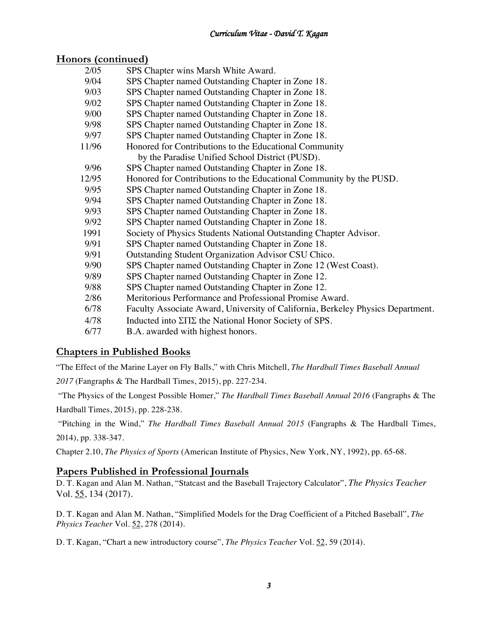# **Honors (continued)**

| 2/05  | SPS Chapter wins Marsh White Award.                                             |
|-------|---------------------------------------------------------------------------------|
| 9/04  | SPS Chapter named Outstanding Chapter in Zone 18.                               |
| 9/03  | SPS Chapter named Outstanding Chapter in Zone 18.                               |
| 9/02  | SPS Chapter named Outstanding Chapter in Zone 18.                               |
| 9/00  | SPS Chapter named Outstanding Chapter in Zone 18.                               |
| 9/98  | SPS Chapter named Outstanding Chapter in Zone 18.                               |
| 9/97  | SPS Chapter named Outstanding Chapter in Zone 18.                               |
| 11/96 | Honored for Contributions to the Educational Community                          |
|       | by the Paradise Unified School District (PUSD).                                 |
| 9/96  | SPS Chapter named Outstanding Chapter in Zone 18.                               |
| 12/95 | Honored for Contributions to the Educational Community by the PUSD.             |
| 9/95  | SPS Chapter named Outstanding Chapter in Zone 18.                               |
| 9/94  | SPS Chapter named Outstanding Chapter in Zone 18.                               |
| 9/93  | SPS Chapter named Outstanding Chapter in Zone 18.                               |
| 9/92  | SPS Chapter named Outstanding Chapter in Zone 18.                               |
| 1991  | Society of Physics Students National Outstanding Chapter Advisor.               |
| 9/91  | SPS Chapter named Outstanding Chapter in Zone 18.                               |
| 9/91  | Outstanding Student Organization Advisor CSU Chico.                             |
| 9/90  | SPS Chapter named Outstanding Chapter in Zone 12 (West Coast).                  |
| 9/89  | SPS Chapter named Outstanding Chapter in Zone 12.                               |
| 9/88  | SPS Chapter named Outstanding Chapter in Zone 12.                               |
| 2/86  | Meritorious Performance and Professional Promise Award.                         |
| 6/78  | Faculty Associate Award, University of California, Berkeley Physics Department. |
| 4/78  | Inducted into ΣΠΣ the National Honor Society of SPS.                            |
| 6/77  | B.A. awarded with highest honors.                                               |

# **Chapters in Published Books**

"The Effect of the Marine Layer on Fly Balls," with Chris Mitchell, *The Hardball Times Baseball Annual* 

*2017* (Fangraphs & The Hardball Times, 2015), pp. 227-234.

"The Physics of the Longest Possible Homer," *The Hardball Times Baseball Annual 2016* (Fangraphs & The Hardball Times, 2015), pp. 228-238.

"Pitching in the Wind," *The Hardball Times Baseball Annual 2015* (Fangraphs & The Hardball Times, 2014), pp. 338-347.

Chapter 2.10, *The Physics of Sports* (American Institute of Physics, New York, NY, 1992), pp. 65-68.

## **Papers Published in Professional Journals**

D. T. Kagan and Alan M. Nathan, "Statcast and the Baseball Trajectory Calculator", *The Physics Teacher* Vol. 55, 134 (2017).

D. T. Kagan and Alan M. Nathan, "Simplified Models for the Drag Coefficient of a Pitched Baseball", *The Physics Teacher* Vol. 52, 278 (2014).

D. T. Kagan, "Chart a new introductory course", *The Physics Teacher* Vol. 52, 59 (2014).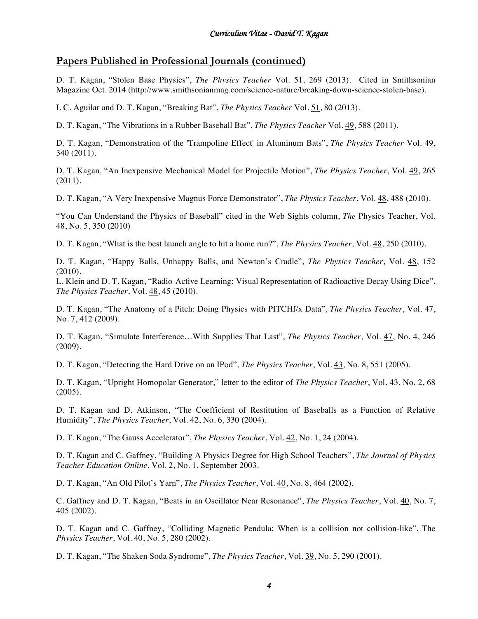# **Papers Published in Professional Journals (continued)**

D. T. Kagan, "Stolen Base Physics", *The Physics Teacher* Vol. 51, 269 (2013). Cited in Smithsonian Magazine Oct. 2014 (http://www.smithsonianmag.com/science-nature/breaking-down-science-stolen-base).

I. C. Aguilar and D. T. Kagan, "Breaking Bat", *The Physics Teacher* Vol. 51, 80 (2013).

D. T. Kagan, "The Vibrations in a Rubber Baseball Bat", *The Physics Teacher* Vol. 49, 588 (2011).

D. T. Kagan, "Demonstration of the 'Trampoline Effect' in Aluminum Bats", *The Physics Teacher* Vol. 49, 340 (2011).

D. T. Kagan, "An Inexpensive Mechanical Model for Projectile Motion", *The Physics Teacher*, Vol. 49, 265 (2011).

D. T. Kagan, "A Very Inexpensive Magnus Force Demonstrator", *The Physics Teacher*, Vol. 48, 488 (2010).

"You Can Understand the Physics of Baseball" cited in the Web Sights column, *The* Physics Teacher, Vol. 48, No. 5, 350 (2010)

D. T. Kagan, "What is the best launch angle to hit a home run?", *The Physics Teacher*, Vol. 48, 250 (2010).

D. T. Kagan, "Happy Balls, Unhappy Balls, and Newton's Cradle", *The Physics Teacher*, Vol. 48, 152 (2010).

L. Klein and D. T. Kagan, "Radio-Active Learning: Visual Representation of Radioactive Decay Using Dice", *The Physics Teacher*, Vol. 48, 45 (2010).

D. T. Kagan, "The Anatomy of a Pitch: Doing Physics with PITCHf/x Data", *The Physics Teacher*, Vol. 47, No. 7, 412 (2009).

D. T. Kagan, "Simulate Interference…With Supplies That Last", *The Physics Teacher*, Vol. 47, No. 4, 246 (2009).

D. T. Kagan, "Detecting the Hard Drive on an IPod", *The Physics Teacher*, Vol. 43, No. 8, 551 (2005).

D. T. Kagan, "Upright Homopolar Generator," letter to the editor of *The Physics Teacher*, Vol. 43, No. 2, 68 (2005).

D. T. Kagan and D. Atkinson, "The Coefficient of Restitution of Baseballs as a Function of Relative Humidity", *The Physics Teacher*, Vol. 42, No. 6, 330 (2004).

D. T. Kagan, "The Gauss Accelerator", *The Physics Teacher*, Vol. 42, No. 1, 24 (2004).

D. T. Kagan and C. Gaffney, "Building A Physics Degree for High School Teachers", *The Journal of Physics Teacher Education Online*, Vol. 2, No. 1, September 2003.

D. T. Kagan, "An Old Pilot's Yarn", *The Physics Teacher*, Vol. 40, No. 8, 464 (2002).

C. Gaffney and D. T. Kagan, "Beats in an Oscillator Near Resonance", *The Physics Teacher*, Vol. 40, No. 7, 405 (2002).

D. T. Kagan and C. Gaffney, "Colliding Magnetic Pendula: When is a collision not collision-like", The *Physics Teacher*, Vol. 40, No. 5, 280 (2002).

D. T. Kagan, "The Shaken Soda Syndrome", *The Physics Teacher*, Vol. 39, No. 5, 290 (2001).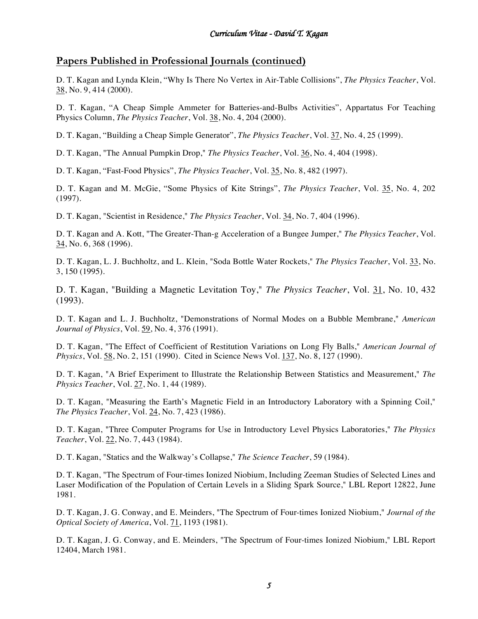# **Papers Published in Professional Journals (continued)**

D. T. Kagan and Lynda Klein, "Why Is There No Vertex in Air-Table Collisions", *The Physics Teacher*, Vol. 38, No. 9, 414 (2000).

D. T. Kagan, "A Cheap Simple Ammeter for Batteries-and-Bulbs Activities", Appartatus For Teaching Physics Column, *The Physics Teacher*, Vol. 38, No. 4, 204 (2000).

D. T. Kagan, "Building a Cheap Simple Generator", *The Physics Teacher*, Vol. 37, No. 4, 25 (1999).

D. T. Kagan, "The Annual Pumpkin Drop," *The Physics Teacher*, Vol. 36, No. 4, 404 (1998).

D. T. Kagan, "Fast-Food Physics", *The Physics Teacher*, Vol. 35, No. 8, 482 (1997).

D. T. Kagan and M. McGie, "Some Physics of Kite Strings", *The Physics Teacher*, Vol. 35, No. 4, 202 (1997).

D. T. Kagan, "Scientist in Residence," *The Physics Teacher*, Vol. 34, No. 7, 404 (1996).

D. T. Kagan and A. Kott, "The Greater-Than-g Acceleration of a Bungee Jumper," *The Physics Teacher*, Vol.  $34$ , No. 6, 368 (1996).

D. T. Kagan, L. J. Buchholtz, and L. Klein, "Soda Bottle Water Rockets," *The Physics Teacher*, Vol. 33, No. 3, 150 (1995).

D. T. Kagan, "Building a Magnetic Levitation Toy," *The Physics Teacher*, Vol. 31, No. 10, 432 (1993).

D. T. Kagan and L. J. Buchholtz, "Demonstrations of Normal Modes on a Bubble Membrane," *American Journal of Physics*, Vol. 59, No. 4, 376 (1991).

D. T. Kagan, "The Effect of Coefficient of Restitution Variations on Long Fly Balls," *American Journal of Physics*, Vol. 58, No. 2, 151 (1990). Cited in Science News Vol. 137, No. 8, 127 (1990).

D. T. Kagan, "A Brief Experiment to Illustrate the Relationship Between Statistics and Measurement," *The Physics Teacher*, Vol. 27, No. 1, 44 (1989).

D. T. Kagan, "Measuring the Earth's Magnetic Field in an Introductory Laboratory with a Spinning Coil," *The Physics Teacher*, Vol. 24, No. 7, 423 (1986).

D. T. Kagan, "Three Computer Programs for Use in Introductory Level Physics Laboratories," *The Physics Teacher*, Vol. 22, No. 7, 443 (1984).

D. T. Kagan, "Statics and the Walkway's Collapse," *The Science Teacher*, 59 (1984).

D. T. Kagan, "The Spectrum of Four-times Ionized Niobium, Including Zeeman Studies of Selected Lines and Laser Modification of the Population of Certain Levels in a Sliding Spark Source," LBL Report 12822, June 1981.

D. T. Kagan, J. G. Conway, and E. Meinders, "The Spectrum of Four-times Ionized Niobium," *Journal of the Optical Society of America*, Vol. 71, 1193 (1981).

D. T. Kagan, J. G. Conway, and E. Meinders, "The Spectrum of Four-times Ionized Niobium," LBL Report 12404, March 1981.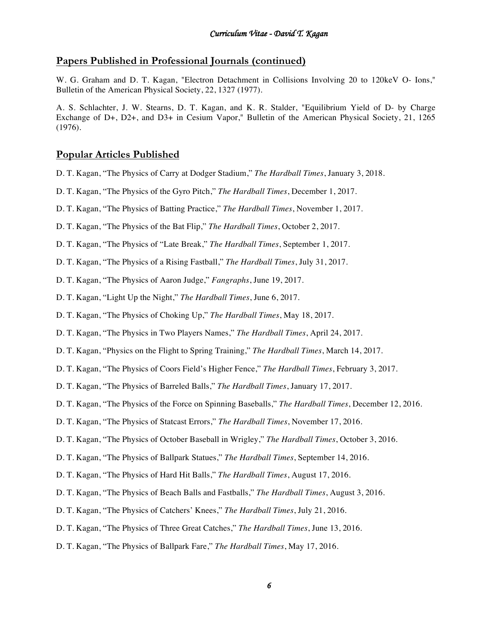#### **Papers Published in Professional Journals (continued)**

W. G. Graham and D. T. Kagan, "Electron Detachment in Collisions Involving 20 to 120keV O- Ions," Bulletin of the American Physical Society, 22, 1327 (1977).

A. S. Schlachter, J. W. Stearns, D. T. Kagan, and K. R. Stalder, "Equilibrium Yield of D- by Charge Exchange of D+, D2+, and D3+ in Cesium Vapor," Bulletin of the American Physical Society, 21, 1265 (1976).

#### **Popular Articles Published**

- D. T. Kagan, "The Physics of Carry at Dodger Stadium," *The Hardball Times*, January 3, 2018.
- D. T. Kagan, "The Physics of the Gyro Pitch," *The Hardball Times*, December 1, 2017.
- D. T. Kagan, "The Physics of Batting Practice," *The Hardball Times*, November 1, 2017.
- D. T. Kagan, "The Physics of the Bat Flip," *The Hardball Times*, October 2, 2017.
- D. T. Kagan, "The Physics of "Late Break," *The Hardball Times*, September 1, 2017.
- D. T. Kagan, "The Physics of a Rising Fastball," *The Hardball Times*, July 31, 2017.
- D. T. Kagan, "The Physics of Aaron Judge," *Fangraphs*, June 19, 2017.
- D. T. Kagan, "Light Up the Night," *The Hardball Times*, June 6, 2017.
- D. T. Kagan, "The Physics of Choking Up," *The Hardball Times*, May 18, 2017.
- D. T. Kagan, "The Physics in Two Players Names," *The Hardball Times*, April 24, 2017.
- D. T. Kagan, "Physics on the Flight to Spring Training," *The Hardball Times*, March 14, 2017.
- D. T. Kagan, "The Physics of Coors Field's Higher Fence," *The Hardball Times*, February 3, 2017.
- D. T. Kagan, "The Physics of Barreled Balls," *The Hardball Times*, January 17, 2017.
- D. T. Kagan, "The Physics of the Force on Spinning Baseballs," *The Hardball Times*, December 12, 2016.
- D. T. Kagan, "The Physics of Statcast Errors," *The Hardball Times*, November 17, 2016.
- D. T. Kagan, "The Physics of October Baseball in Wrigley," *The Hardball Times*, October 3, 2016.
- D. T. Kagan, "The Physics of Ballpark Statues," *The Hardball Times*, September 14, 2016.
- D. T. Kagan, "The Physics of Hard Hit Balls," *The Hardball Times*, August 17, 2016.
- D. T. Kagan, "The Physics of Beach Balls and Fastballs," *The Hardball Times*, August 3, 2016.
- D. T. Kagan, "The Physics of Catchers' Knees," *The Hardball Times*, July 21, 2016.
- D. T. Kagan, "The Physics of Three Great Catches," *The Hardball Times*, June 13, 2016.
- D. T. Kagan, "The Physics of Ballpark Fare," *The Hardball Times*, May 17, 2016.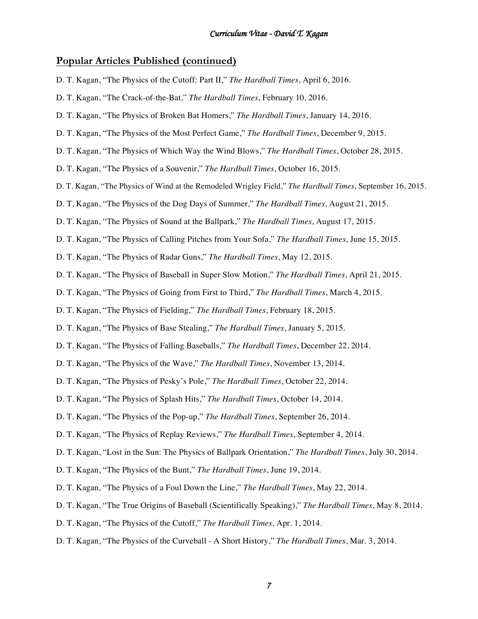#### **Popular Articles Published (continued)**

- D. T. Kagan, "The Physics of the Cutoff: Part II," *The Hardball Times*, April 6, 2016.
- D. T. Kagan, "The Crack-of-the-Bat," *The Hardball Times*, February 10, 2016.
- D. T. Kagan, "The Physics of Broken Bat Homers," *The Hardball Times*, January 14, 2016.
- D. T. Kagan, "The Physics of the Most Perfect Game," *The Hardball Times*, December 9, 2015.
- D. T. Kagan, "The Physics of Which Way the Wind Blows," *The Hardball Times*, October 28, 2015.
- D. T. Kagan, "The Physics of a Souvenir," *The Hardball Times*, October 16, 2015.
- D. T. Kagan, "The Physics of Wind at the Remodeled Wrigley Field," *The Hardball Times*, September 16, 2015.
- D. T. Kagan, "The Physics of the Dog Days of Summer," *The Hardball Times*, August 21, 2015.
- D. T. Kagan, "The Physics of Sound at the Ballpark," *The Hardball Times*, August 17, 2015.
- D. T. Kagan, "The Physics of Calling Pitches from Your Sofa," *The Hardball Times*, June 15, 2015.
- D. T. Kagan, "The Physics of Radar Guns," *The Hardball Times*, May 12, 2015.
- D. T. Kagan, "The Physics of Baseball in Super Slow Motion," *The Hardball Times*, April 21, 2015.
- D. T. Kagan, "The Physics of Going from First to Third," *The Hardball Times*, March 4, 2015.
- D. T. Kagan, "The Physics of Fielding," *The Hardball Times*, February 18, 2015.
- D. T. Kagan, "The Physics of Base Stealing," *The Hardball Times*, January 5, 2015.
- D. T. Kagan, "The Physics of Falling Baseballs," *The Hardball Times*, December 22, 2014.
- D. T. Kagan, "The Physics of the Wave," *The Hardball Times*, November 13, 2014.
- D. T. Kagan, "The Physics of Pesky's Pole," *The Hardball Times*, October 22, 2014.
- D. T. Kagan, "The Physics of Splash Hits," *The Hardball Times*, October 14, 2014.
- D. T. Kagan, "The Physics of the Pop-up," *The Hardball Times*, September 26, 2014.
- D. T. Kagan, "The Physics of Replay Reviews," *The Hardball Times*, September 4, 2014.
- D. T. Kagan, "Lost in the Sun: The Physics of Ballpark Orientation," *The Hardball Times*, July 30, 2014.
- D. T. Kagan, "The Physics of the Bunt," *The Hardball Times*, June 19, 2014.
- D. T. Kagan, "The Physics of a Foul Down the Line," *The Hardball Times*, May 22, 2014.
- D. T. Kagan, "The True Origins of Baseball (Scientifically Speaking)," *The Hardball Times*, May 8, 2014.
- D. T. Kagan, "The Physics of the Cutoff," *The Hardball Times*, Apr. 1, 2014.
- D. T. Kagan, "The Physics of the Curveball A Short History," *The Hardball Times*, Mar. 3, 2014.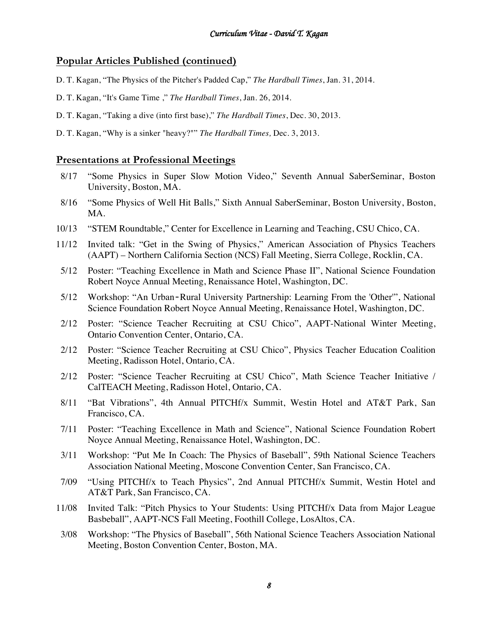## **Popular Articles Published (continued)**

- D. T. Kagan, "The Physics of the Pitcher's Padded Cap," *The Hardball Times*, Jan. 31, 2014.
- D. T. Kagan, "It's Game Time ," *The Hardball Times*, Jan. 26, 2014.
- D. T. Kagan, "Taking a dive (into first base)," *The Hardball Times*, Dec. 30, 2013.
- D. T. Kagan, "Why is a sinker "heavy?"" *The Hardball Times,* Dec. 3, 2013.

#### **Presentations at Professional Meetings**

- 8/17 "Some Physics in Super Slow Motion Video," Seventh Annual SaberSeminar, Boston University, Boston, MA.
- 8/16 "Some Physics of Well Hit Balls," Sixth Annual SaberSeminar, Boston University, Boston, MA.
- 10/13 "STEM Roundtable," Center for Excellence in Learning and Teaching, CSU Chico, CA.
- 11/12 Invited talk: "Get in the Swing of Physics," American Association of Physics Teachers (AAPT) – Northern California Section (NCS) Fall Meeting, Sierra College, Rocklin, CA.
- 5/12 Poster: "Teaching Excellence in Math and Science Phase II", National Science Foundation Robert Noyce Annual Meeting, Renaissance Hotel, Washington, DC.
- 5/12 Workshop: "An Urban‐Rural University Partnership: Learning From the 'Other'", National Science Foundation Robert Noyce Annual Meeting, Renaissance Hotel, Washington, DC.
- 2/12 Poster: "Science Teacher Recruiting at CSU Chico", AAPT-National Winter Meeting, Ontario Convention Center, Ontario, CA.
- 2/12 Poster: "Science Teacher Recruiting at CSU Chico", Physics Teacher Education Coalition Meeting, Radisson Hotel, Ontario, CA.
- 2/12 Poster: "Science Teacher Recruiting at CSU Chico", Math Science Teacher Initiative / CalTEACH Meeting, Radisson Hotel, Ontario, CA.
- 8/11 "Bat Vibrations", 4th Annual PITCHf/x Summit, Westin Hotel and AT&T Park, San Francisco, CA.
- 7/11 Poster: "Teaching Excellence in Math and Science", National Science Foundation Robert Noyce Annual Meeting, Renaissance Hotel, Washington, DC.
- 3/11 Workshop: "Put Me In Coach: The Physics of Baseball", 59th National Science Teachers Association National Meeting, Moscone Convention Center, San Francisco, CA.
- 7/09 "Using PITCHf/x to Teach Physics", 2nd Annual PITCHf/x Summit, Westin Hotel and AT&T Park, San Francisco, CA.
- 11/08 Invited Talk: "Pitch Physics to Your Students: Using PITCHf/x Data from Major League Basbeball", AAPT-NCS Fall Meeting, Foothill College, LosAltos, CA.
- 3/08 Workshop: "The Physics of Baseball", 56th National Science Teachers Association National Meeting, Boston Convention Center, Boston, MA.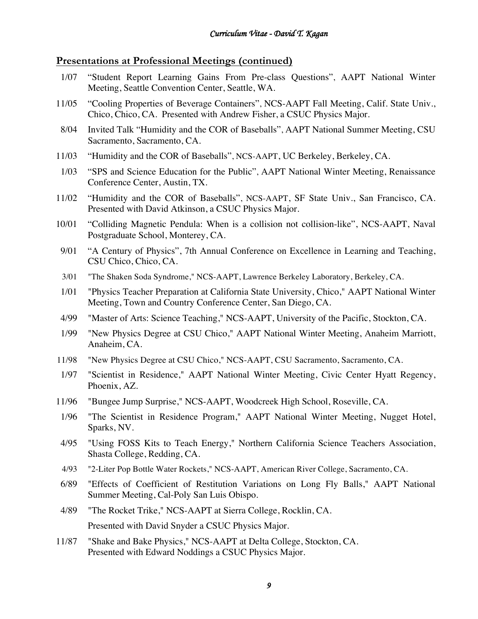#### **Presentations at Professional Meetings (continued)**

- 1/07 "Student Report Learning Gains From Pre-class Questions", AAPT National Winter Meeting, Seattle Convention Center, Seattle, WA.
- 11/05 "Cooling Properties of Beverage Containers", NCS-AAPT Fall Meeting, Calif. State Univ., Chico, Chico, CA. Presented with Andrew Fisher, a CSUC Physics Major.
- 8/04 Invited Talk "Humidity and the COR of Baseballs", AAPT National Summer Meeting, CSU Sacramento, Sacramento, CA.
- 11/03 "Humidity and the COR of Baseballs", NCS-AAPT, UC Berkeley, Berkeley, CA.
- 1/03 "SPS and Science Education for the Public", AAPT National Winter Meeting, Renaissance Conference Center, Austin, TX.
- 11/02 "Humidity and the COR of Baseballs", NCS-AAPT, SF State Univ., San Francisco, CA. Presented with David Atkinson, a CSUC Physics Major.
- 10/01 "Colliding Magnetic Pendula: When is a collision not collision-like", NCS-AAPT, Naval Postgraduate School, Monterey, CA.
- 9/01 "A Century of Physics", 7th Annual Conference on Excellence in Learning and Teaching, CSU Chico, Chico, CA.
- 3/01 "The Shaken Soda Syndrome," NCS-AAPT, Lawrence Berkeley Laboratory, Berkeley, CA.
- 1/01 "Physics Teacher Preparation at California State University, Chico," AAPT National Winter Meeting, Town and Country Conference Center, San Diego, CA.
- 4/99 "Master of Arts: Science Teaching," NCS-AAPT, University of the Pacific, Stockton, CA.
- 1/99 "New Physics Degree at CSU Chico," AAPT National Winter Meeting, Anaheim Marriott, Anaheim, CA.
- 11/98 "New Physics Degree at CSU Chico," NCS-AAPT, CSU Sacramento, Sacramento, CA.
- 1/97 "Scientist in Residence," AAPT National Winter Meeting, Civic Center Hyatt Regency, Phoenix, AZ.
- 11/96 "Bungee Jump Surprise," NCS-AAPT, Woodcreek High School, Roseville, CA.
- 1/96 "The Scientist in Residence Program," AAPT National Winter Meeting, Nugget Hotel, Sparks, NV.
- 4/95 "Using FOSS Kits to Teach Energy," Northern California Science Teachers Association, Shasta College, Redding, CA.
- 4/93 "2-Liter Pop Bottle Water Rockets," NCS-AAPT, American River College, Sacramento, CA.
- 6/89 "Effects of Coefficient of Restitution Variations on Long Fly Balls," AAPT National Summer Meeting, Cal-Poly San Luis Obispo.
- 4/89 "The Rocket Trike," NCS-AAPT at Sierra College, Rocklin, CA. Presented with David Snyder a CSUC Physics Major.
- 11/87 "Shake and Bake Physics," NCS-AAPT at Delta College, Stockton, CA. Presented with Edward Noddings a CSUC Physics Major.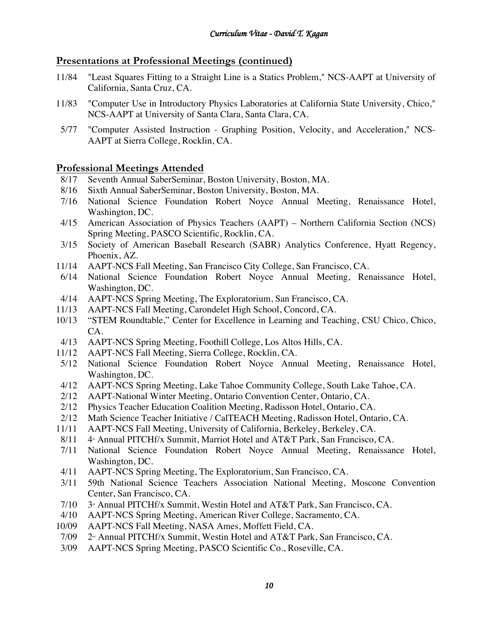# **Presentations at Professional Meetings (continued)**

- 11/84 "Least Squares Fitting to a Straight Line is a Statics Problem," NCS-AAPT at University of California, Santa Cruz, CA.
- 11/83 "Computer Use in Introductory Physics Laboratories at California State University, Chico," NCS-AAPT at University of Santa Clara, Santa Clara, CA.
- 5/77 "Computer Assisted Instruction Graphing Position, Velocity, and Acceleration," NCS-AAPT at Sierra College, Rocklin, CA.

## **Professional Meetings Attended**

- 8/17 Seventh Annual SaberSeminar, Boston University, Boston, MA.
- 8/16 Sixth Annual SaberSeminar, Boston University, Boston, MA.
- 7/16 National Science Foundation Robert Noyce Annual Meeting, Renaissance Hotel, Washington, DC.
- 4/15 American Association of Physics Teachers (AAPT) Northern California Section (NCS) Spring Meeting, PASCO Scientific, Rocklin, CA.
- 3/15 Society of American Baseball Research (SABR) Analytics Conference, Hyatt Regency, Phoenix, AZ.
- 11/14 AAPT-NCS Fall Meeting, San Francisco City College, San Francisco, CA.
- 6/14 National Science Foundation Robert Noyce Annual Meeting, Renaissance Hotel, Washington, DC.
- 4/14 AAPT-NCS Spring Meeting, The Exploratorium, San Francisco, CA.
- 11/13 AAPT-NCS Fall Meeting, Carondelet High School, Concord, CA.
- 10/13 "STEM Roundtable," Center for Excellence in Learning and Teaching, CSU Chico, Chico, CA.
- 4/13 AAPT-NCS Spring Meeting, Foothill College, Los Altos Hills, CA.
- 11/12 AAPT-NCS Fall Meeting, Sierra College, Rocklin, CA.
- 5/12 National Science Foundation Robert Noyce Annual Meeting, Renaissance Hotel, Washington, DC.
- 4/12 AAPT-NCS Spring Meeting, Lake Tahoe Community College, South Lake Tahoe, CA.
- 2/12 AAPT-National Winter Meeting, Ontario Convention Center, Ontario, CA.
- 2/12 Physics Teacher Education Coalition Meeting, Radisson Hotel, Ontario, CA.
- 2/12 Math Science Teacher Initiative / CalTEACH Meeting, Radisson Hotel, Ontario, CA.
- 11/11 AAPT-NCS Fall Meeting, University of California, Berkeley, Berkeley, CA.
- 8/11  $4^*$  Annual PITCHf/x Summit, Marriot Hotel and AT&T Park, San Francisco, CA.
- 7/11 National Science Foundation Robert Noyce Annual Meeting, Renaissance Hotel, Washington, DC.
- 4/11 AAPT-NCS Spring Meeting, The Exploratorium, San Francisco, CA.
- 3/11 59th National Science Teachers Association National Meeting, Moscone Convention Center, San Francisco, CA.
- $7/10$  3<sup>d</sup> Annual PITCHf/x Summit, Westin Hotel and AT&T Park, San Francisco, CA.
- 4/10 AAPT-NCS Spring Meeting, American River College, Sacramento, CA.
- 10/09 AAPT-NCS Fall Meeting, NASA Ames, Moffett Field, CA.
- $7/09$   $2^{\omega}$  Annual PITCHf/x Summit, Westin Hotel and AT&T Park, San Francisco, CA.
- 3/09 AAPT-NCS Spring Meeting, PASCO Scientific Co., Roseville, CA.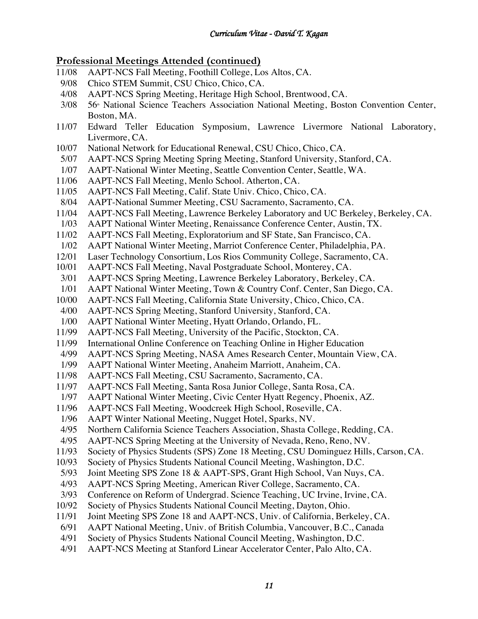# **Professional Meetings Attended (continued)**

- 11/08 AAPT-NCS Fall Meeting, Foothill College, Los Altos, CA.
- 9/08 Chico STEM Summit, CSU Chico, Chico, CA.
- 4/08 AAPT-NCS Spring Meeting, Heritage High School, Brentwood, CA.
- 3/08 56<sup>th</sup> National Science Teachers Association National Meeting, Boston Convention Center, Boston, MA.
- 11/07 Edward Teller Education Symposium, Lawrence Livermore National Laboratory, Livermore, CA.
- 10/07 National Network for Educational Renewal, CSU Chico, Chico, CA.
- 5/07 AAPT-NCS Spring Meeting Spring Meeting, Stanford University, Stanford, CA.
- 1/07 AAPT-National Winter Meeting, Seattle Convention Center, Seattle, WA.<br>11/06 AAPT-NCS Fall Meeting, Menlo School. Atherton, CA.
- AAPT-NCS Fall Meeting, Menlo School. Atherton, CA.
- 11/05 AAPT-NCS Fall Meeting, Calif. State Univ. Chico, Chico, CA.
- 8/04 AAPT-National Summer Meeting, CSU Sacramento, Sacramento, CA.
- 11/04 AAPT-NCS Fall Meeting, Lawrence Berkeley Laboratory and UC Berkeley, Berkeley, CA.
- 1/03 AAPT National Winter Meeting, Renaissance Conference Center, Austin, TX.
- 11/02 AAPT-NCS Fall Meeting, Exploratorium and SF State, San Francisco, CA.
- 1/02 AAPT National Winter Meeting, Marriot Conference Center, Philadelphia, PA.
- 12/01 Laser Technology Consortium, Los Rios Community College, Sacramento, CA.
- 10/01 AAPT-NCS Fall Meeting, Naval Postgraduate School, Monterey, CA.
- 3/01 AAPT-NCS Spring Meeting, Lawrence Berkeley Laboratory, Berkeley, CA.
- 1/01 AAPT National Winter Meeting, Town & Country Conf. Center, San Diego, CA.
- 10/00 AAPT-NCS Fall Meeting, California State University, Chico, Chico, CA.
- 4/00 AAPT-NCS Spring Meeting, Stanford University, Stanford, CA.
- 1/00 AAPT National Winter Meeting, Hyatt Orlando, Orlando, FL.
- 11/99 AAPT-NCS Fall Meeting, University of the Pacific, Stockton, CA.
- 11/99 International Online Conference on Teaching Online in Higher Education
- 4/99 AAPT-NCS Spring Meeting, NASA Ames Research Center, Mountain View, CA.
- 1/99 AAPT National Winter Meeting, Anaheim Marriott, Anaheim, CA.
- 11/98 AAPT-NCS Fall Meeting, CSU Sacramento, Sacramento, CA.
- 11/97 AAPT-NCS Fall Meeting, Santa Rosa Junior College, Santa Rosa, CA.
- 1/97 AAPT National Winter Meeting, Civic Center Hyatt Regency, Phoenix, AZ.
- 11/96 AAPT-NCS Fall Meeting, Woodcreek High School, Roseville, CA.
- 1/96 AAPT Winter National Meeting, Nugget Hotel, Sparks, NV.
- 4/95 Northern California Science Teachers Association, Shasta College, Redding, CA.
- 4/95 AAPT-NCS Spring Meeting at the University of Nevada, Reno, Reno, NV.
- 11/93 Society of Physics Students (SPS) Zone 18 Meeting, CSU Dominguez Hills, Carson, CA.
- 10/93 Society of Physics Students National Council Meeting, Washington, D.C.
- 5/93 Joint Meeting SPS Zone 18 & AAPT-SPS, Grant High School, Van Nuys, CA.
- 4/93 AAPT-NCS Spring Meeting, American River College, Sacramento, CA.
- 3/93 Conference on Reform of Undergrad. Science Teaching, UC Irvine, Irvine, CA.
- 10/92 Society of Physics Students National Council Meeting, Dayton, Ohio.
- 11/91 Joint Meeting SPS Zone 18 and AAPT-NCS, Univ. of California, Berkeley, CA.
- 6/91 AAPT National Meeting, Univ. of British Columbia, Vancouver, B.C., Canada
- 4/91 Society of Physics Students National Council Meeting, Washington, D.C.
- 4/91 AAPT-NCS Meeting at Stanford Linear Accelerator Center, Palo Alto, CA.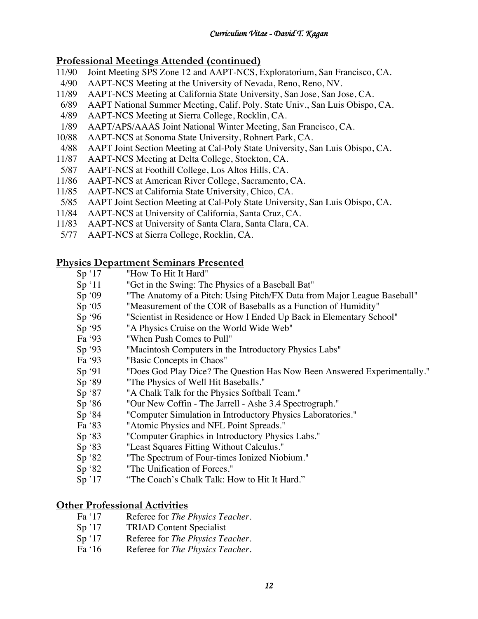# **Professional Meetings Attended (continued)**

- 11/90 Joint Meeting SPS Zone 12 and AAPT-NCS, Exploratorium, San Francisco, CA.
- 4/90 AAPT-NCS Meeting at the University of Nevada, Reno, Reno, NV.
- 11/89 AAPT-NCS Meeting at California State University, San Jose, San Jose, CA.
- 6/89 AAPT National Summer Meeting, Calif. Poly. State Univ., San Luis Obispo, CA.
- 4/89 AAPT-NCS Meeting at Sierra College, Rocklin, CA.
- 1/89 AAPT/APS/AAAS Joint National Winter Meeting, San Francisco, CA.
- 10/88 AAPT-NCS at Sonoma State University, Rohnert Park, CA.
- 4/88 AAPT Joint Section Meeting at Cal-Poly State University, San Luis Obispo, CA.
- 11/87 AAPT-NCS Meeting at Delta College, Stockton, CA.
- 5/87 AAPT-NCS at Foothill College, Los Altos Hills, CA.
- 11/86 AAPT-NCS at American River College, Sacramento, CA.
- 11/85 AAPT-NCS at California State University, Chico, CA.
- 5/85 AAPT Joint Section Meeting at Cal-Poly State University, San Luis Obispo, CA.
- 11/84 AAPT-NCS at University of California, Santa Cruz, CA.
- 11/83 AAPT-NCS at University of Santa Clara, Santa Clara, CA.
- 5/77 AAPT-NCS at Sierra College, Rocklin, CA.

## **Physics Department Seminars Presented**

- Sp '17 "How To Hit It Hard"
- Sp '11 "Get in the Swing: The Physics of a Baseball Bat"
- Sp '09 "The Anatomy of a Pitch: Using Pitch/FX Data from Major League Baseball"
- Sp '05 "Measurement of the COR of Baseballs as a Function of Humidity"
- Sp '96 "Scientist in Residence or How I Ended Up Back in Elementary School"
- Sp '95 "A Physics Cruise on the World Wide Web"
- Fa '93 "When Push Comes to Pull"
- Sp '93 "Macintosh Computers in the Introductory Physics Labs"
- Fa '93 "Basic Concepts in Chaos"
- Sp '91 "Does God Play Dice? The Question Has Now Been Answered Experimentally."
- Sp '89 "The Physics of Well Hit Baseballs."
- Sp '87 "A Chalk Talk for the Physics Softball Team."
- Sp '86 "Our New Coffin The Jarrell Ashe 3.4 Spectrograph."
- Sp '84 "Computer Simulation in Introductory Physics Laboratories."
- Fa '83 "Atomic Physics and NFL Point Spreads."
- Sp '83 "Computer Graphics in Introductory Physics Labs."
- Sp '83 "Least Squares Fitting Without Calculus."
- Sp '82 "The Spectrum of Four-times Ionized Niobium."
- Sp '82 "The Unification of Forces."
- Sp '17 "The Coach's Chalk Talk: How to Hit It Hard."

## **Other Professional Activities**

- Fa '17 Referee for *The Physics Teacher*.
- Sp '17 TRIAD Content Specialist
- Sp '17 Referee for *The Physics Teacher*.
- Fa '16 Referee for *The Physics Teacher*.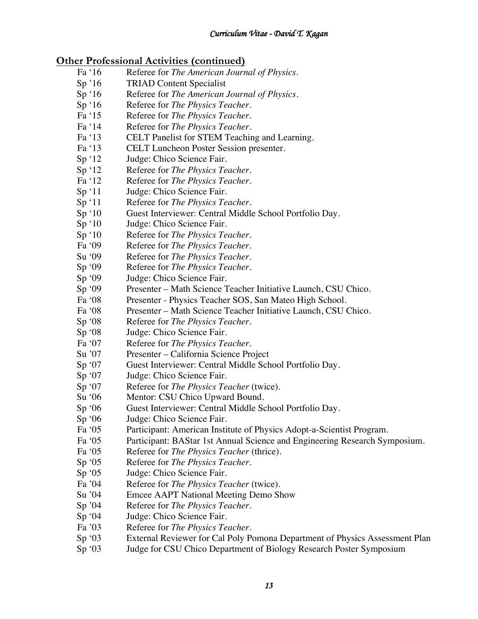# **Other Professional Activities (continued)**

- Fa '16 Referee for *The American Journal of Physics*.
- Sp '16 TRIAD Content Specialist
- Sp '16 Referee for *The American Journal of Physics*.
- Sp '16 Referee for *The Physics Teacher*.
- Fa '15 Referee for *The Physics Teacher*.
- Fa '14 Referee for *The Physics Teacher*.
- Fa '13 CELT Panelist for STEM Teaching and Learning.
- Fa '13 CELT Luncheon Poster Session presenter.
- Sp '12 Judge: Chico Science Fair.
- Sp '12 Referee for *The Physics Teacher*.<br>Fa '12 Referee for *The Physics Teacher*.
- Referee for *The Physics Teacher*.
- Sp '11 Judge: Chico Science Fair.
- Sp '11 Referee for *The Physics Teacher*.
- Sp '10 Guest Interviewer: Central Middle School Portfolio Day.
- Sp '10 Judge: Chico Science Fair.
- Sp '10 Referee for *The Physics Teacher*.
- Fa '09 Referee for *The Physics Teacher*.
- Su '09 Referee for *The Physics Teacher*.
- Sp '09 Referee for *The Physics Teacher*.
- Sp '09 Judge: Chico Science Fair.
- Sp '09 Presenter Math Science Teacher Initiative Launch, CSU Chico.
- Fa '08 Presenter Physics Teacher SOS, San Mateo High School.
- Fa '08 Presenter Math Science Teacher Initiative Launch, CSU Chico.
- Sp '08 Referee for *The Physics Teacher*.
- Sp '08 Judge: Chico Science Fair.
- Fa '07 Referee for *The Physics Teacher*.
- Su '07 Presenter California Science Project
- Sp '07 Guest Interviewer: Central Middle School Portfolio Day.
- Sp '07 Judge: Chico Science Fair.
- Sp '07 Referee for *The Physics Teacher* (twice).
- Su '06 Mentor: CSU Chico Upward Bound.
- Sp '06 Guest Interviewer: Central Middle School Portfolio Day.
- Sp '06 Judge: Chico Science Fair.
- Fa '05 Participant: American Institute of Physics Adopt-a-Scientist Program.
- Fa '05 Participant: BAStar 1st Annual Science and Engineering Research Symposium.
- Fa '05 Referee for *The Physics Teacher* (thrice).
- Sp '05 Referee for *The Physics Teacher*.
- Sp '05 Judge: Chico Science Fair.
- Fa '04 Referee for *The Physics Teacher* (twice).
- Su '04 Emcee AAPT National Meeting Demo Show
- Sp '04 Referee for *The Physics Teacher*.
- Sp '04 Judge: Chico Science Fair.
- Fa '03 Referee for *The Physics Teacher*.
- Sp '03 External Reviewer for Cal Poly Pomona Department of Physics Assessment Plan
- Sp '03 Judge for CSU Chico Department of Biology Research Poster Symposium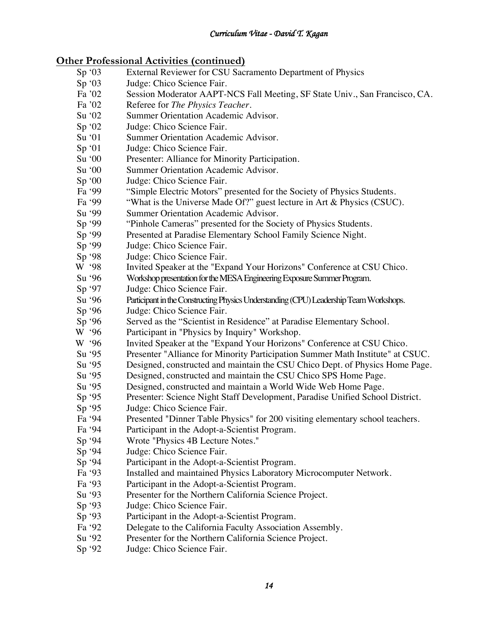# **Other Professional Activities (continued)**

- Sp '03 External Reviewer for CSU Sacramento Department of Physics Sp '03 Judge: Chico Science Fair. Fa '02 Session Moderator AAPT-NCS Fall Meeting, SF State Univ., San Francisco, CA.<br>Fa '02 Referee for *The Physics Teacher*. Referee for *The Physics Teacher*. Su '02 Summer Orientation Academic Advisor. Sp '02 Judge: Chico Science Fair. Su '01 Summer Orientation Academic Advisor. Sp '01 Judge: Chico Science Fair. Su '00 Presenter: Alliance for Minority Participation. Su '00 Summer Orientation Academic Advisor.<br>Sp '00 Judge: Chico Science Fair. Judge: Chico Science Fair. Fa '99 "Simple Electric Motors" presented for the Society of Physics Students.<br>Fa '99 "What is the Universe Made Of?" guest lecture in Art & Physics (CSUC "What is the Universe Made Of?" guest lecture in Art  $&$  Physics (CSUC). Su '99 Summer Orientation Academic Advisor. Sp '99 "Pinhole Cameras" presented for the Society of Physics Students. Sp '99 Presented at Paradise Elementary School Family Science Night. Sp '99 Judge: Chico Science Fair. Sp '98 Judge: Chico Science Fair. W '98 Invited Speaker at the "Expand Your Horizons" Conference at CSU Chico. Su '96 Workshop presentation for the MESA Engineering Exposure Summer Program. Sp '97 Judge: Chico Science Fair. Su '96 Participant in the Constructing Physics Understanding (CPU) Leadership Team Workshops. Sp '96 Judge: Chico Science Fair. Sp '96 Served as the "Scientist in Residence" at Paradise Elementary School.<br>W '96 Participant in "Physics by Inquiry" Workshop. Participant in "Physics by Inquiry" Workshop. W '96 Invited Speaker at the "Expand Your Horizons" Conference at CSU Chico. Su '95 Presenter "Alliance for Minority Participation Summer Math Institute" at CSUC. Su '95 Designed, constructed and maintain the CSU Chico Dept. of Physics Home Page. Su '95 Designed, constructed and maintain the CSU Chico SPS Home Page. Su '95 Designed, constructed and maintain a World Wide Web Home Page. Sp '95 Presenter: Science Night Staff Development, Paradise Unified School District. Sp '95 Judge: Chico Science Fair. Fa '94 Presented "Dinner Table Physics" for 200 visiting elementary school teachers. Fa '94 Participant in the Adopt-a-Scientist Program. Sp '94 Wrote "Physics 4B Lecture Notes." Sp '94 Judge: Chico Science Fair. Sp '94 Participant in the Adopt-a-Scientist Program. Fa '93 Installed and maintained Physics Laboratory Microcomputer Network. Fa '93 Participant in the Adopt-a-Scientist Program. Su '93 Presenter for the Northern California Science Project. Sp '93 Judge: Chico Science Fair. Sp '93 Participant in the Adopt-a-Scientist Program. Fa '92 Delegate to the California Faculty Association Assembly. Su '92 Presenter for the Northern California Science Project.
	- Sp '92 Judge: Chico Science Fair.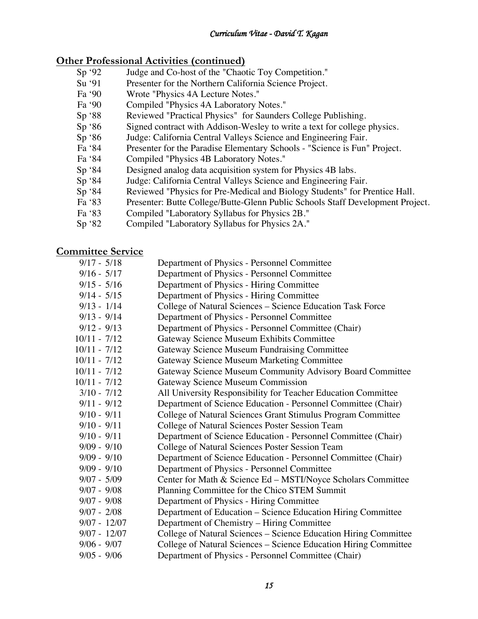# **Other Professional Activities (continued)**

- Sp '92 Judge and Co-host of the "Chaotic Toy Competition."<br>Su '91 Presenter for the Northern California Science Project.
- Presenter for the Northern California Science Project.
- Fa '90 Wrote "Physics 4A Lecture Notes."
- Fa '90 Compiled "Physics 4A Laboratory Notes."
- Sp '88 Reviewed "Practical Physics" for Saunders College Publishing.
- Sp '86 Signed contract with Addison-Wesley to write a text for college physics.
- Sp '86 Judge: California Central Valleys Science and Engineering Fair.
- Fa '84 Presenter for the Paradise Elementary Schools "Science is Fun" Project.
- Fa '84 Compiled "Physics 4B Laboratory Notes."
- Sp '84 Designed analog data acquisition system for Physics 4B labs.<br>Sp '84 Judge: California Central Valleys Science and Engineering Fa
- Judge: California Central Valleys Science and Engineering Fair.
- Sp '84 Reviewed "Physics for Pre-Medical and Biology Students" for Prentice Hall.
- Fa '83 Presenter: Butte College/Butte-Glenn Public Schools Staff Development Project.
- Fa '83 Compiled "Laboratory Syllabus for Physics 2B."
- Sp '82 Compiled "Laboratory Syllabus for Physics 2A."

# **Committee Service**

| $9/17 - 5/18$  | Department of Physics - Personnel Committee                      |
|----------------|------------------------------------------------------------------|
| $9/16 - 5/17$  | Department of Physics - Personnel Committee                      |
| $9/15 - 5/16$  | Department of Physics - Hiring Committee                         |
| $9/14 - 5/15$  | Department of Physics - Hiring Committee                         |
| $9/13 - 1/14$  | College of Natural Sciences – Science Education Task Force       |
| $9/13 - 9/14$  | Department of Physics - Personnel Committee                      |
| $9/12 - 9/13$  | Department of Physics - Personnel Committee (Chair)              |
| $10/11 - 7/12$ | Gateway Science Museum Exhibits Committee                        |
| $10/11 - 7/12$ | Gateway Science Museum Fundraising Committee                     |
| $10/11 - 7/12$ | <b>Gateway Science Museum Marketing Committee</b>                |
| $10/11 - 7/12$ | Gateway Science Museum Community Advisory Board Committee        |
| $10/11 - 7/12$ | Gateway Science Museum Commission                                |
| $3/10 - 7/12$  | All University Responsibility for Teacher Education Committee    |
| $9/11 - 9/12$  | Department of Science Education - Personnel Committee (Chair)    |
| $9/10 - 9/11$  | College of Natural Sciences Grant Stimulus Program Committee     |
| $9/10 - 9/11$  | College of Natural Sciences Poster Session Team                  |
| $9/10 - 9/11$  | Department of Science Education - Personnel Committee (Chair)    |
| $9/09 - 9/10$  | College of Natural Sciences Poster Session Team                  |
| $9/09 - 9/10$  | Department of Science Education - Personnel Committee (Chair)    |
| $9/09 - 9/10$  | Department of Physics - Personnel Committee                      |
| $9/07 - 5/09$  | Center for Math & Science Ed - MSTI/Noyce Scholars Committee     |
| $9/07 - 9/08$  | Planning Committee for the Chico STEM Summit                     |
| $9/07 - 9/08$  | Department of Physics - Hiring Committee                         |
| $9/07 - 2/08$  | Department of Education – Science Education Hiring Committee     |
| $9/07 - 12/07$ | Department of Chemistry – Hiring Committee                       |
| $9/07 - 12/07$ | College of Natural Sciences - Science Education Hiring Committee |
| $9/06 - 9/07$  | College of Natural Sciences - Science Education Hiring Committee |
| $9/05 - 9/06$  | Department of Physics - Personnel Committee (Chair)              |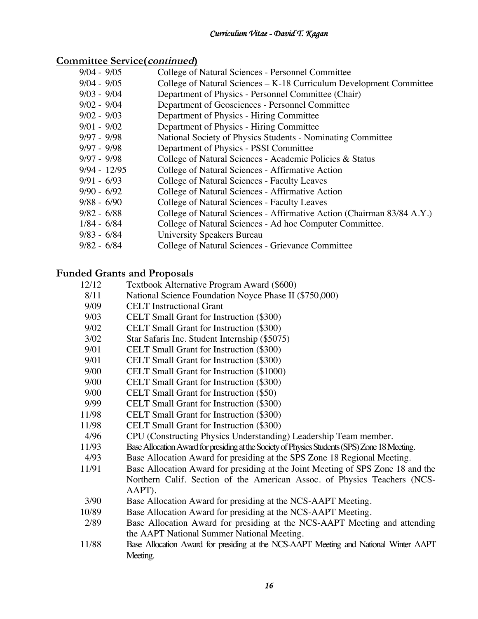# **Committee Service(continued)**

| $9/04 - 9/05$  | College of Natural Sciences - Personnel Committee                      |
|----------------|------------------------------------------------------------------------|
| $9/04 - 9/05$  | College of Natural Sciences – K-18 Curriculum Development Committee    |
| $9/03 - 9/04$  | Department of Physics - Personnel Committee (Chair)                    |
| $9/02 - 9/04$  | Department of Geosciences - Personnel Committee                        |
| $9/02 - 9/03$  | Department of Physics - Hiring Committee                               |
| $9/01 - 9/02$  | Department of Physics - Hiring Committee                               |
| $9/97 - 9/98$  | National Society of Physics Students - Nominating Committee            |
| $9/97 - 9/98$  | Department of Physics - PSSI Committee                                 |
| $9/97 - 9/98$  | College of Natural Sciences - Academic Policies & Status               |
| $9/94 - 12/95$ | College of Natural Sciences - Affirmative Action                       |
| $9/91 - 6/93$  | College of Natural Sciences - Faculty Leaves                           |
| $9/90 - 6/92$  | College of Natural Sciences - Affirmative Action                       |
| $9/88 - 6/90$  | College of Natural Sciences - Faculty Leaves                           |
| $9/82 - 6/88$  | College of Natural Sciences - Affirmative Action (Chairman 83/84 A.Y.) |
| $1/84 - 6/84$  | College of Natural Sciences - Ad hoc Computer Committee.               |
| $9/83 - 6/84$  | University Speakers Bureau                                             |
| $9/82 - 6/84$  | College of Natural Sciences - Grievance Committee                      |

# **Funded Grants and Proposals**

| 12/12 | Textbook Alternative Program Award (\$600)                                                    |
|-------|-----------------------------------------------------------------------------------------------|
| 8/11  | National Science Foundation Noyce Phase II (\$750,000)                                        |
| 9/09  | <b>CELT</b> Instructional Grant                                                               |
| 9/03  | CELT Small Grant for Instruction (\$300)                                                      |
| 9/02  | <b>CELT</b> Small Grant for Instruction (\$300)                                               |
| 3/02  | Star Safaris Inc. Student Internship (\$5075)                                                 |
| 9/01  | CELT Small Grant for Instruction (\$300)                                                      |
| 9/01  | CELT Small Grant for Instruction (\$300)                                                      |
| 9/00  | CELT Small Grant for Instruction (\$1000)                                                     |
| 9/00  | CELT Small Grant for Instruction (\$300)                                                      |
| 9/00  | CELT Small Grant for Instruction (\$50)                                                       |
| 9/99  | CELT Small Grant for Instruction (\$300)                                                      |
| 11/98 | <b>CELT</b> Small Grant for Instruction (\$300)                                               |
| 11/98 | <b>CELT</b> Small Grant for Instruction (\$300)                                               |
| 4/96  | CPU (Constructing Physics Understanding) Leadership Team member.                              |
| 11/93 | Base Allocation Award for presiding at the Society of Physics Students (SPS) Zone 18 Meeting. |
| 4/93  | Base Allocation Award for presiding at the SPS Zone 18 Regional Meeting.                      |
| 11/91 | Base Allocation Award for presiding at the Joint Meeting of SPS Zone 18 and the               |
|       | Northern Calif. Section of the American Assoc. of Physics Teachers (NCS-                      |
|       | AAPT).                                                                                        |
| 3/90  | Base Allocation Award for presiding at the NCS-AAPT Meeting.                                  |
| 10/89 | Base Allocation Award for presiding at the NCS-AAPT Meeting.                                  |
| 2/89  | Base Allocation Award for presiding at the NCS-AAPT Meeting and attending                     |
|       | the AAPT National Summer National Meeting.                                                    |
| 11/88 | Base Allocation Award for presiding at the NCS-AAPT Meeting and National Winter AAPT          |
|       | Meeting.                                                                                      |